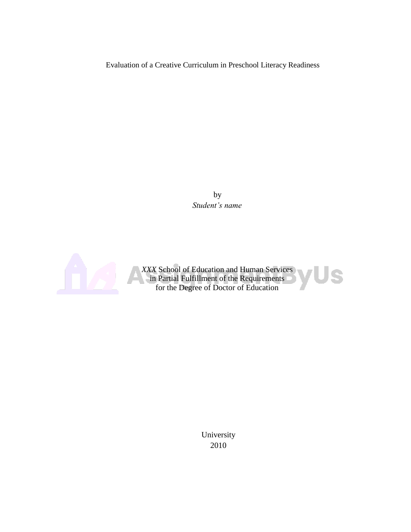Evaluation of a Creative Curriculum in Preschool Literacy Readiness

by *Student's name*



*XXX* School of Education and Human Services Us in Partial Fulfillment of the Requirements for the Degree of Doctor of Education

> University 2010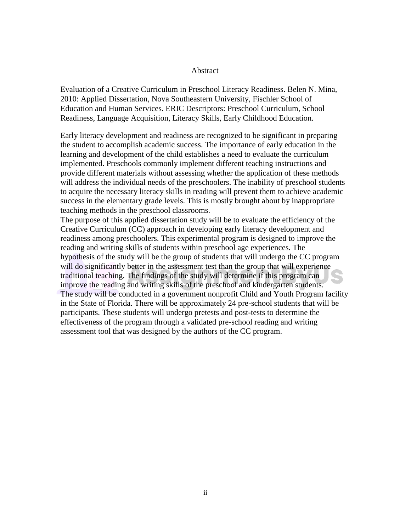#### Abstract

Evaluation of a Creative Curriculum in Preschool Literacy Readiness. Belen N. Mina, 2010: Applied Dissertation, Nova Southeastern University, Fischler School of Education and Human Services. ERIC Descriptors: Preschool Curriculum, School Readiness, Language Acquisition, Literacy Skills, Early Childhood Education.

Early literacy development and readiness are recognized to be significant in preparing the student to accomplish academic success. The importance of early education in the learning and development of the child establishes a need to evaluate the curriculum implemented. Preschools commonly implement different teaching instructions and provide different materials without assessing whether the application of these methods will address the individual needs of the preschoolers. The inability of preschool students to acquire the necessary literacy skills in reading will prevent them to achieve academic success in the elementary grade levels. This is mostly brought about by inappropriate teaching methods in the preschool classrooms.

The purpose of this applied dissertation study will be to evaluate the efficiency of the Creative Curriculum (CC) approach in developing early literacy development and readiness among preschoolers. This experimental program is designed to improve the reading and writing skills of students within preschool age experiences. The hypothesis of the study will be the group of students that will undergo the CC program will do significantly better in the assessment test than the group that will experience traditional teaching. The findings of the study will determine if this program can improve the reading and writing skills of the preschool and kindergarten students. The study will be conducted in a government nonprofit Child and Youth Program facility in the State of Florida. There will be approximately 24 pre-school students that will be participants. These students will undergo pretests and post-tests to determine the effectiveness of the program through a validated pre-school reading and writing assessment tool that was designed by the authors of the CC program.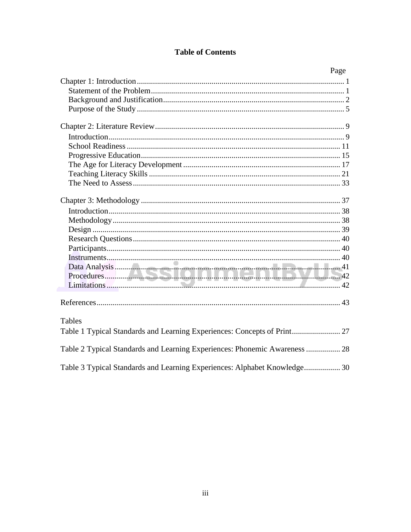# **Table of Contents**

| Page                                                                       |
|----------------------------------------------------------------------------|
|                                                                            |
|                                                                            |
|                                                                            |
|                                                                            |
|                                                                            |
|                                                                            |
|                                                                            |
|                                                                            |
|                                                                            |
|                                                                            |
|                                                                            |
|                                                                            |
|                                                                            |
|                                                                            |
|                                                                            |
|                                                                            |
|                                                                            |
|                                                                            |
|                                                                            |
|                                                                            |
|                                                                            |
|                                                                            |
| Tables                                                                     |
|                                                                            |
| Table 2 Typical Standards and Learning Experiences: Phonemic Awareness  28 |
| Table 3 Typical Standards and Learning Experiences: Alphabet Knowledge 30  |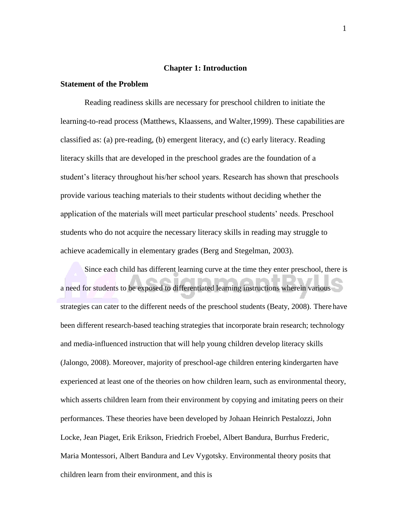#### **Chapter 1: Introduction**

#### <span id="page-3-0"></span>**Statement of the Problem**

Reading readiness skills are necessary for preschool children to initiate the learning-to-read process (Matthews, Klaassens, and Walter,1999). These capabilities are classified as: (a) pre-reading, (b) emergent literacy, and (c) early literacy. Reading literacy skills that are developed in the preschool grades are the foundation of a student's literacy throughout his/her school years. Research has shown that preschools provide various teaching materials to their students without deciding whether the application of the materials will meet particular preschool students' needs. Preschool students who do not acquire the necessary literacy skills in reading may struggle to achieve academically in elementary grades (Berg and Stegelman, 2003).

Since each child has different learning curve at the time they enter preschool, there is a need for students to be exposed to differentiated learning instructions wherein various strategies can cater to the different needs of the preschool students (Beaty, 2008). There have been different research-based teaching strategies that incorporate brain research; technology and media-influenced instruction that will help young children develop literacy skills (Jalongo, 2008). Moreover, majority of preschool-age children entering kindergarten have experienced at least one of the theories on how children learn, such as environmental theory, which asserts children learn from their environment by copying and imitating peers on their performances. These theories have been developed by Johaan Heinrich Pestalozzi, John Locke, Jean Piaget, Erik Erikson, Friedrich Froebel, Albert Bandura, Burrhus Frederic, Maria Montessori, Albert Bandura and Lev Vygotsky. Environmental theory posits that children learn from their environment, and this is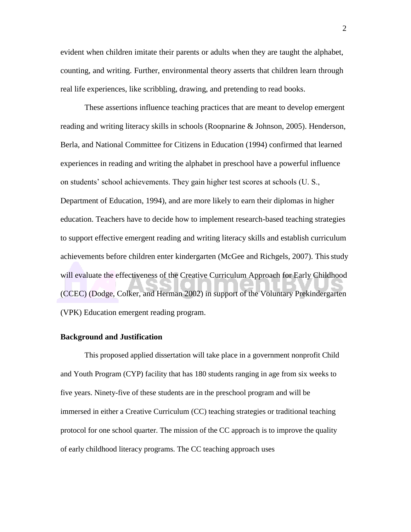<span id="page-4-0"></span>evident when children imitate their parents or adults when they are taught the alphabet, counting, and writing. Further, environmental theory asserts that children learn through real life experiences, like scribbling, drawing, and pretending to read books.

These assertions influence teaching practices that are meant to develop emergent reading and writing literacy skills in schools (Roopnarine & Johnson, 2005). Henderson, Berla, and National Committee for Citizens in Education (1994) confirmed that learned experiences in reading and writing the alphabet in preschool have a powerful influence on students' school achievements. They gain higher test scores at schools (U. S., Department of Education, 1994), and are more likely to earn their diplomas in higher education. Teachers have to decide how to implement research-based teaching strategies to support effective emergent reading and writing literacy skills and establish curriculum achievements before children enter kindergarten (McGee and Richgels, 2007). This study will evaluate the effectiveness of the Creative Curriculum Approach for Early Childhood (CCEC) (Dodge, Colker, and Herman 2002) in support of the Voluntary Prekindergarten (VPK) Education emergent reading program.

#### **Background and Justification**

This proposed applied dissertation will take place in a government nonprofit Child and Youth Program (CYP) facility that has 180 students ranging in age from six weeks to five years. Ninety-five of these students are in the preschool program and will be immersed in either a Creative Curriculum (CC) teaching strategies or traditional teaching protocol for one school quarter. The mission of the CC approach is to improve the quality of early childhood literacy programs. The CC teaching approach uses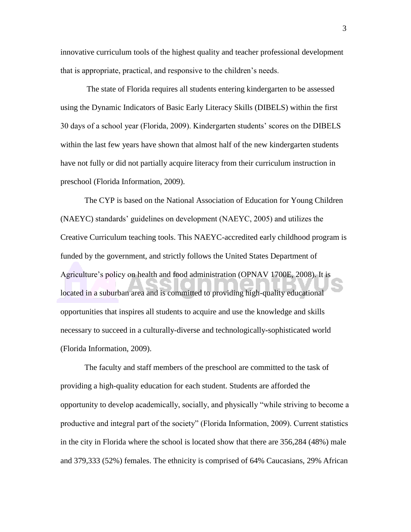innovative curriculum tools of the highest quality and teacher professional development that is appropriate, practical, and responsive to the children's needs.

The state of Florida requires all students entering kindergarten to be assessed using the Dynamic Indicators of Basic Early Literacy Skills (DIBELS) within the first 30 days of a school year (Florida, 2009). Kindergarten students' scores on the DIBELS within the last few years have shown that almost half of the new kindergarten students have not fully or did not partially acquire literacy from their curriculum instruction in preschool (Florida Information, 2009).

The CYP is based on the National Association of Education for Young Children (NAEYC) standards' guidelines on development (NAEYC, 2005) and utilizes the Creative Curriculum teaching tools. This NAEYC-accredited early childhood program is funded by the government, and strictly follows the United States Department of Agriculture's policy on health and food administration (OPNAV 1700E, 2008). It is located in a suburban area and is committed to providing high-quality educational opportunities that inspires all students to acquire and use the knowledge and skills necessary to succeed in a culturally-diverse and technologically**-**sophisticated world (Florida Information, 2009).

The faculty and staff members of the preschool are committed to the task of providing a high-quality education for each student. Students are afforded the opportunity to develop academically, socially, and physically "while striving to become a productive and integral part of the society" (Florida Information, 2009). Current statistics in the city in Florida where the school is located show that there are 356,284 (48%) male and 379,333 (52%) females. The ethnicity is comprised of 64% Caucasians, 29% African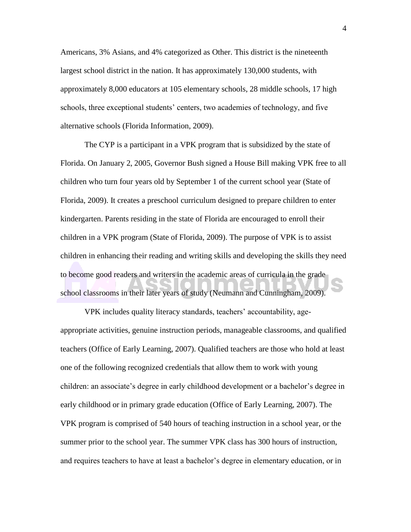Americans, 3% Asians, and 4% categorized as Other. This district is the nineteenth largest school district in the nation. It has approximately 130,000 students, with approximately 8,000 educators at 105 elementary schools, 28 middle schools, 17 high schools, three exceptional students' centers, two academies of technology, and five alternative schools (Florida Information, 2009).

The CYP is a participant in a VPK program that is subsidized by the state of Florida. On January 2, 2005, Governor Bush signed a House Bill making VPK free to all children who turn four years old by September 1 of the current school year (State of Florida, 2009). It creates a preschool curriculum designed to prepare children to enter kindergarten. Parents residing in the state of Florida are encouraged to enroll their children in a VPK program (State of Florida, 2009). The purpose of VPK is to assist children in enhancing their reading and writing skills and developing the skills they need to become good readers and writers in the academic areas of curricula in the grade school classrooms in their later years of study (Neumann and Cunningham, 2009).

VPK includes quality literacy standards, teachers' accountability, ageappropriate activities, genuine instruction periods, manageable classrooms, and qualified teachers (Office of Early Learning, 2007). Qualified teachers are those who hold at least one of the following recognized credentials that allow them to work with young children: an associate's degree in early childhood development or a bachelor's degree in early childhood or in primary grade education (Office of Early Learning, 2007). The VPK program is comprised of 540 hours of teaching instruction in a school year, or the summer prior to the school year. The summer VPK class has 300 hours of instruction, and requires teachers to have at least a bachelor's degree in elementary education, or in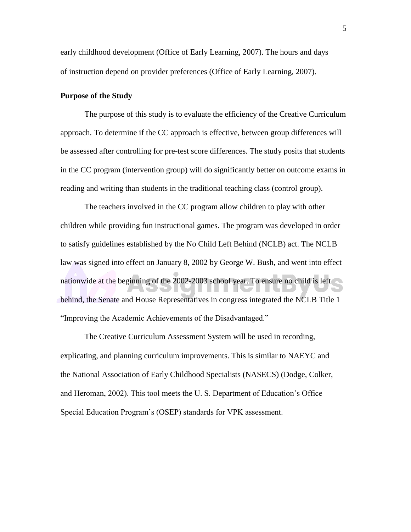<span id="page-7-0"></span>early childhood development (Office of Early Learning, 2007). The hours and days of instruction depend on provider preferences (Office of Early Learning, 2007).

# **Purpose of the Study**

The purpose of this study is to evaluate the efficiency of the Creative Curriculum approach. To determine if the CC approach is effective, between group differences will be assessed after controlling for pre-test score differences. The study posits that students in the CC program (intervention group) will do significantly better on outcome exams in reading and writing than students in the traditional teaching class (control group).

The teachers involved in the CC program allow children to play with other children while providing fun instructional games. The program was developed in order to satisfy guidelines established by the No Child Left Behind (NCLB) act. The NCLB law was signed into effect on January 8, 2002 by George W. Bush, and went into effect nationwide at the beginning of the 2002-2003 school year. To ensure no child is left behind, the Senate and House Representatives in congress integrated the NCLB Title 1 "Improving the Academic Achievements of the Disadvantaged."

The Creative Curriculum Assessment System will be used in recording, explicating, and planning curriculum improvements. This is similar to NAEYC and the National Association of Early Childhood Specialists (NASECS) (Dodge, Colker, and Heroman, 2002). This tool meets the U. S. Department of Education's Office Special Education Program's (OSEP) standards for VPK assessment.

5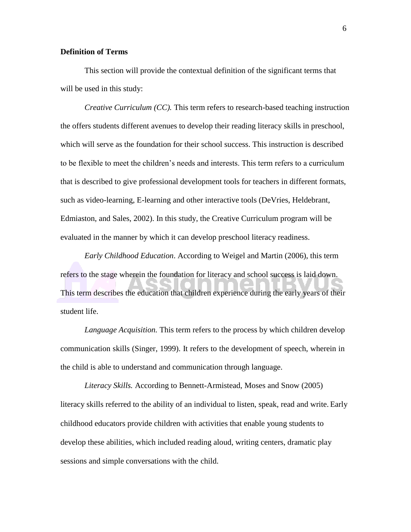# **Definition of Terms**

This section will provide the contextual definition of the significant terms that will be used in this study:

*Creative Curriculum (CC).* This term refers to research-based teaching instruction the offers students different avenues to develop their reading literacy skills in preschool, which will serve as the foundation for their school success. This instruction is described to be flexible to meet the children's needs and interests. This term refers to a curriculum that is described to give professional development tools for teachers in different formats, such as video-learning, E-learning and other interactive tools (DeVries, Heldebrant, Edmiaston, and Sales, 2002). In this study, the Creative Curriculum program will be evaluated in the manner by which it can develop preschool literacy readiness.

*Early Childhood Education*. According to Weigel and Martin (2006), this term refers to the stage wherein the foundation for literacy and school success is laid down. This term describes the education that children experience during the early years of their student life.

*Language Acquisition.* This term refers to the process by which children develop communication skills (Singer, 1999). It refers to the development of speech, wherein in the child is able to understand and communication through language.

*Literacy Skills.* According to Bennett-Armistead, Moses and Snow (2005) literacy skills referred to the ability of an individual to listen, speak, read and write. Early childhood educators provide children with activities that enable young students to develop these abilities, which included reading aloud, writing centers, dramatic play sessions and simple conversations with the child.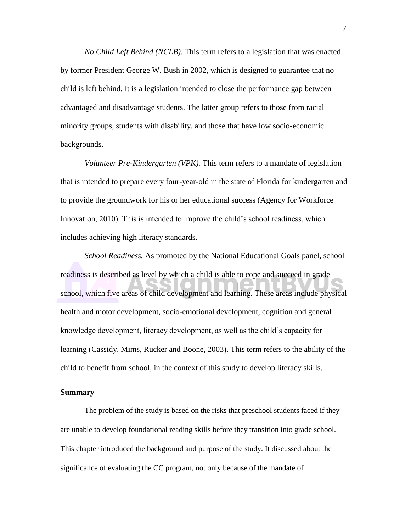*No Child Left Behind (NCLB).* This term refers to a legislation that was enacted by former President George W. Bush in 2002, which is designed to guarantee that no child is left behind. It is a legislation intended to close the performance gap between advantaged and disadvantage students. The latter group refers to those from racial minority groups, students with disability, and those that have low socio-economic backgrounds.

*Volunteer Pre-Kindergarten (VPK).* This term refers to a mandate of legislation that is intended to prepare every four-year-old in the state of Florida for kindergarten and to provide the groundwork for his or her educational success (Agency for Workforce Innovation, 2010). This is intended to improve the child's school readiness, which includes achieving high literacy standards.

*School Readiness.* As promoted by the National Educational Goals panel, school readiness is described as level by which a child is able to cope and succeed in grade school, which five areas of child development and learning. These areas include physical health and motor development, socio-emotional development, cognition and general knowledge development, literacy development, as well as the child's capacity for learning (Cassidy, Mims, Rucker and Boone, 2003). This term refers to the ability of the child to benefit from school, in the context of this study to develop literacy skills.

# **Summary**

The problem of the study is based on the risks that preschool students faced if they are unable to develop foundational reading skills before they transition into grade school. This chapter introduced the background and purpose of the study. It discussed about the significance of evaluating the CC program, not only because of the mandate of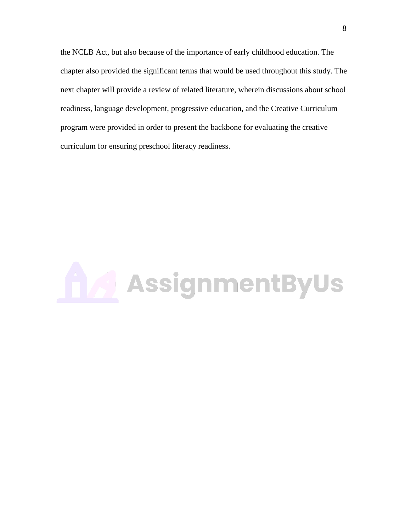the NCLB Act, but also because of the importance of early childhood education. The chapter also provided the significant terms that would be used throughout this study. The next chapter will provide a review of related literature, wherein discussions about school readiness, language development, progressive education, and the Creative Curriculum program were provided in order to present the backbone for evaluating the creative curriculum for ensuring preschool literacy readiness.

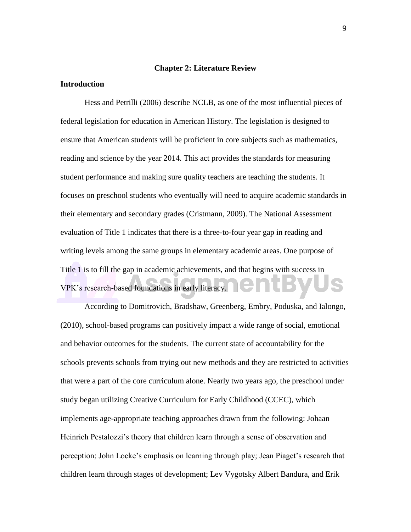#### **Chapter 2: Literature Review**

# <span id="page-11-0"></span>**Introduction**

Hess and Petrilli (2006) describe NCLB, as one of the most influential pieces of federal legislation for education in American History. The legislation is designed to ensure that American students will be proficient in core subjects such as mathematics, reading and science by the year 2014. This act provides the standards for measuring student performance and making sure quality teachers are teaching the students. It focuses on preschool students who eventually will need to acquire academic standards in their elementary and secondary grades (Cristmann, 2009). The National Assessment evaluation of Title 1 indicates that there is a three-to-four year gap in reading and writing levels among the same groups in elementary academic areas. One purpose of Title 1 is to fill the gap in academic achievements, and that begins with success in VPK's research-based foundations in early literacy.

According to Domitrovich, Bradshaw, Greenberg, Embry, Poduska, and Ialongo, (2010), school-based programs can positively impact a wide range of social, emotional and behavior outcomes for the students. The current state of accountability for the schools prevents schools from trying out new methods and they are restricted to activities that were a part of the core curriculum alone. Nearly two years ago, the preschool under study began utilizing Creative Curriculum for Early Childhood (CCEC), which implements age-appropriate teaching approaches drawn from the following: Johaan Heinrich Pestalozzi's theory that children learn through a sense of observation and perception; John Locke's emphasis on learning through play; Jean Piaget's research that children learn through stages of development; Lev Vygotsky Albert Bandura, and Erik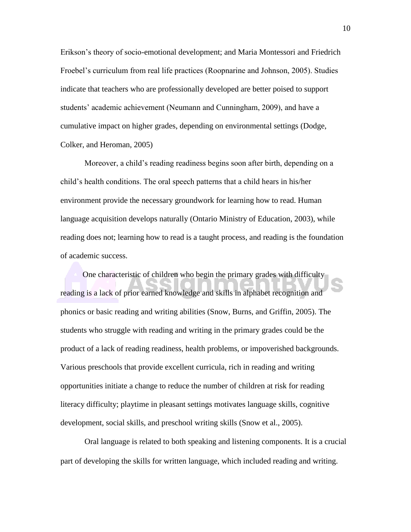Erikson's theory of socio-emotional development; and Maria Montessori and Friedrich Froebel's curriculum from real life practices (Roopnarine and Johnson, 2005). Studies indicate that teachers who are professionally developed are better poised to support students' academic achievement (Neumann and Cunningham, 2009), and have a cumulative impact on higher grades, depending on environmental settings (Dodge, Colker, and Heroman, 2005)

Moreover, a child's reading readiness begins soon after birth, depending on a child's health conditions. The oral speech patterns that a child hears in his/her environment provide the necessary groundwork for learning how to read. Human language acquisition develops naturally (Ontario Ministry of Education, 2003), while reading does not; learning how to read is a taught process, and reading is the foundation of academic success.

One characteristic of children who begin the primary grades with difficulty reading is a lack of prior earned knowledge and skills in alphabet recognition and phonics or basic reading and writing abilities (Snow, Burns, and Griffin, 2005). The students who struggle with reading and writing in the primary grades could be the product of a lack of reading readiness, health problems, or impoverished backgrounds. Various preschools that provide excellent curricula, rich in reading and writing opportunities initiate a change to reduce the number of children at risk for reading literacy difficulty; playtime in pleasant settings motivates language skills, cognitive development, social skills, and preschool writing skills (Snow et al., 2005).

Oral language is related to both speaking and listening components. It is a crucial part of developing the skills for written language, which included reading and writing.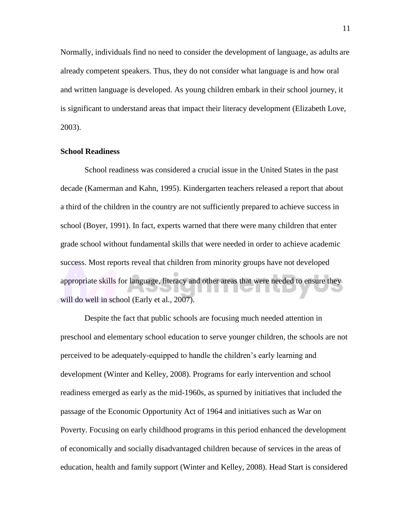<span id="page-13-0"></span>Normally, individuals find no need to consider the development of language, as adults are already competent speakers. Thus, they do not consider what language is and how oral and written language is developed. As young children embark in their school journey, it is significant to understand areas that impact their literacy development (Elizabeth Love, 2003).

# **School Readiness**

School readiness was considered a crucial issue in the United States in the past decade (Kamerman and Kahn, 1995). Kindergarten teachers released a report that about a third of the children in the country are not sufficiently prepared to achieve success in school (Boyer, 1991). In fact, experts warned that there were many children that enter grade school without fundamental skills that were needed in order to achieve academic success. Most reports reveal that children from minority groups have not developed appropriate skills for language, literacy and other areas that were needed to ensure they will do well in school (Early et al., 2007).

Despite the fact that public schools are focusing much needed attention in preschool and elementary school education to serve younger children, the schools are not perceived to be adequately-equipped to handle the children's early learning and development (Winter and Kelley, 2008). Programs for early intervention and school readiness emerged as early as the mid-1960s, as spurned by initiatives that included the passage of the Economic Opportunity Act of 1964 and initiatives such as War on Poverty. Focusing on early childhood programs in this period enhanced the development of economically and socially disadvantaged children because of services in the areas of education, health and family support (Winter and Kelley, 2008). Head Start is considered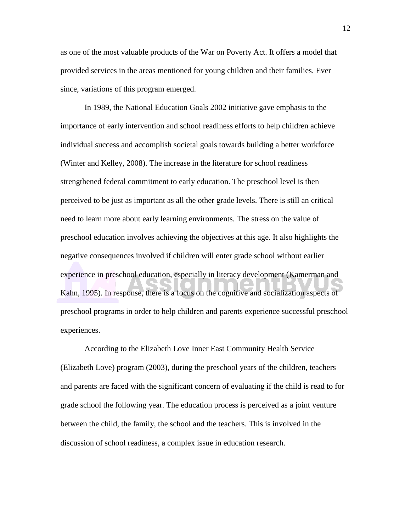as one of the most valuable products of the War on Poverty Act. It offers a model that provided services in the areas mentioned for young children and their families. Ever since, variations of this program emerged.

In 1989, the National Education Goals 2002 initiative gave emphasis to the importance of early intervention and school readiness efforts to help children achieve individual success and accomplish societal goals towards building a better workforce (Winter and Kelley, 2008). The increase in the literature for school readiness strengthened federal commitment to early education. The preschool level is then perceived to be just as important as all the other grade levels. There is still an critical need to learn more about early learning environments. The stress on the value of preschool education involves achieving the objectives at this age. It also highlights the negative consequences involved if children will enter grade school without earlier experience in preschool education, especially in literacy development (Kamerman and Kahn, 1995). In response, there is a focus on the cognitive and socialization aspects of preschool programs in order to help children and parents experience successful preschool experiences.

According to the Elizabeth Love Inner East Community Health Service (Elizabeth Love) program (2003), during the preschool years of the children, teachers and parents are faced with the significant concern of evaluating if the child is read to for grade school the following year. The education process is perceived as a joint venture between the child, the family, the school and the teachers. This is involved in the discussion of school readiness, a complex issue in education research.

12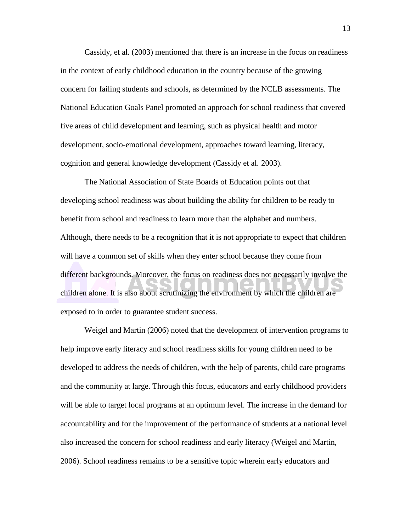Cassidy, et al. (2003) mentioned that there is an increase in the focus on readiness in the context of early childhood education in the country because of the growing concern for failing students and schools, as determined by the NCLB assessments. The National Education Goals Panel promoted an approach for school readiness that covered five areas of child development and learning, such as physical health and motor development, socio-emotional development, approaches toward learning, literacy, cognition and general knowledge development (Cassidy et al. 2003).

The National Association of State Boards of Education points out that developing school readiness was about building the ability for children to be ready to benefit from school and readiness to learn more than the alphabet and numbers. Although, there needs to be a recognition that it is not appropriate to expect that children will have a common set of skills when they enter school because they come from different backgrounds. Moreover, the focus on readiness does not necessarily involve the children alone. It is also about scrutinizing the environment by which the children are exposed to in order to guarantee student success.

Weigel and Martin (2006) noted that the development of intervention programs to help improve early literacy and school readiness skills for young children need to be developed to address the needs of children, with the help of parents, child care programs and the community at large. Through this focus, educators and early childhood providers will be able to target local programs at an optimum level. The increase in the demand for accountability and for the improvement of the performance of students at a national level also increased the concern for school readiness and early literacy (Weigel and Martin, 2006). School readiness remains to be a sensitive topic wherein early educators and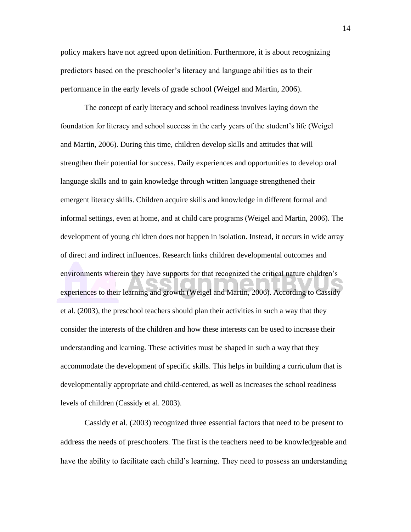policy makers have not agreed upon definition. Furthermore, it is about recognizing predictors based on the preschooler's literacy and language abilities as to their performance in the early levels of grade school (Weigel and Martin, 2006).

The concept of early literacy and school readiness involves laying down the foundation for literacy and school success in the early years of the student's life (Weigel and Martin, 2006). During this time, children develop skills and attitudes that will strengthen their potential for success. Daily experiences and opportunities to develop oral language skills and to gain knowledge through written language strengthened their emergent literacy skills. Children acquire skills and knowledge in different formal and informal settings, even at home, and at child care programs (Weigel and Martin, 2006). The development of young children does not happen in isolation. Instead, it occurs in wide array of direct and indirect influences. Research links children developmental outcomes and environments wherein they have supports for that recognized the critical nature children's experiences to their learning and growth (Weigel and Martin, 2006). According to Cassidy et al. (2003), the preschool teachers should plan their activities in such a way that they consider the interests of the children and how these interests can be used to increase their understanding and learning. These activities must be shaped in such a way that they accommodate the development of specific skills. This helps in building a curriculum that is developmentally appropriate and child-centered, as well as increases the school readiness levels of children (Cassidy et al. 2003).

Cassidy et al. (2003) recognized three essential factors that need to be present to address the needs of preschoolers. The first is the teachers need to be knowledgeable and have the ability to facilitate each child's learning. They need to possess an understanding

14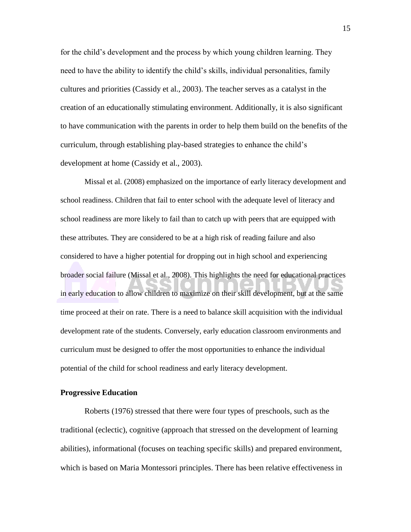<span id="page-17-0"></span>for the child's development and the process by which young children learning. They need to have the ability to identify the child's skills, individual personalities, family cultures and priorities (Cassidy et al., 2003). The teacher serves as a catalyst in the creation of an educationally stimulating environment. Additionally, it is also significant to have communication with the parents in order to help them build on the benefits of the curriculum, through establishing play-based strategies to enhance the child's development at home (Cassidy et al., 2003).

Missal et al. (2008) emphasized on the importance of early literacy development and school readiness. Children that fail to enter school with the adequate level of literacy and school readiness are more likely to fail than to catch up with peers that are equipped with these attributes. They are considered to be at a high risk of reading failure and also considered to have a higher potential for dropping out in high school and experiencing broader social failure (Missal et al., 2008). This highlights the need for educational practices in early education to allow children to maximize on their skill development, but at the same time proceed at their on rate. There is a need to balance skill acquisition with the individual development rate of the students. Conversely, early education classroom environments and curriculum must be designed to offer the most opportunities to enhance the individual potential of the child for school readiness and early literacy development.

#### **Progressive Education**

Roberts (1976) stressed that there were four types of preschools, such as the traditional (eclectic), cognitive (approach that stressed on the development of learning abilities), informational (focuses on teaching specific skills) and prepared environment, which is based on Maria Montessori principles. There has been relative effectiveness in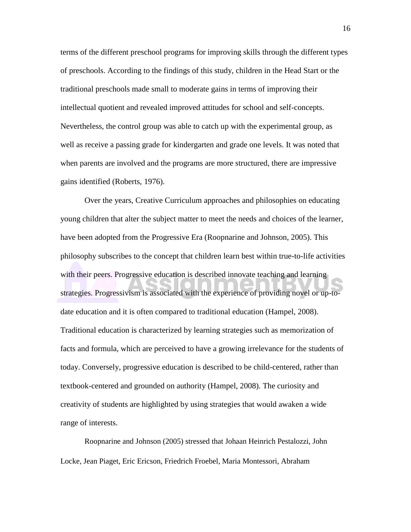terms of the different preschool programs for improving skills through the different types of preschools. According to the findings of this study, children in the Head Start or the traditional preschools made small to moderate gains in terms of improving their intellectual quotient and revealed improved attitudes for school and self-concepts. Nevertheless, the control group was able to catch up with the experimental group, as well as receive a passing grade for kindergarten and grade one levels. It was noted that when parents are involved and the programs are more structured, there are impressive gains identified (Roberts, 1976).

Over the years, Creative Curriculum approaches and philosophies on educating young children that alter the subject matter to meet the needs and choices of the learner, have been adopted from the Progressive Era (Roopnarine and Johnson, 2005). This philosophy subscribes to the concept that children learn best within true-to-life activities with their peers. Progressive education is described innovate teaching and learning strategies. Progressivism is associated with the experience of providing novel or up-todate education and it is often compared to traditional education (Hampel, 2008). Traditional education is characterized by learning strategies such as memorization of facts and formula, which are perceived to have a growing irrelevance for the students of today. Conversely, progressive education is described to be child-centered, rather than textbook-centered and grounded on authority (Hampel, 2008). The curiosity and creativity of students are highlighted by using strategies that would awaken a wide range of interests.

Roopnarine and Johnson (2005) stressed that Johaan Heinrich Pestalozzi, John Locke, Jean Piaget, Eric Ericson, Friedrich Froebel, Maria Montessori, Abraham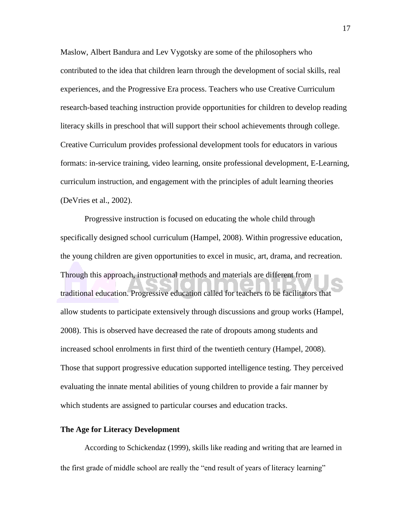<span id="page-19-0"></span>Maslow, Albert Bandura and Lev Vygotsky are some of the philosophers who contributed to the idea that children learn through the development of social skills, real experiences, and the Progressive Era process. Teachers who use Creative Curriculum research-based teaching instruction provide opportunities for children to develop reading literacy skills in preschool that will support their school achievements through college. Creative Curriculum provides professional development tools for educators in various formats: in-service training, video learning, onsite professional development, E-Learning, curriculum instruction, and engagement with the principles of adult learning theories (DeVries et al., 2002).

Progressive instruction is focused on educating the whole child through specifically designed school curriculum (Hampel, 2008). Within progressive education, the young children are given opportunities to excel in music, art, drama, and recreation. Through this approach, instructional methods and materials are different from traditional education. Progressive education called for teachers to be facilitators that allow students to participate extensively through discussions and group works (Hampel, 2008). This is observed have decreased the rate of dropouts among students and increased school enrolments in first third of the twentieth century (Hampel, 2008). Those that support progressive education supported intelligence testing. They perceived evaluating the innate mental abilities of young children to provide a fair manner by which students are assigned to particular courses and education tracks.

# **The Age for Literacy Development**

According to Schickendaz (1999), skills like reading and writing that are learned in the first grade of middle school are really the "end result of years of literacy learning"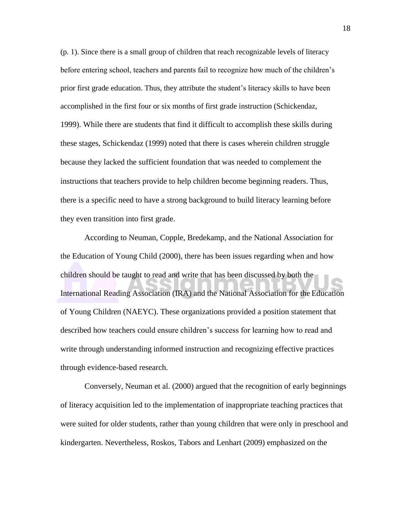(p. 1). Since there is a small group of children that reach recognizable levels of literacy before entering school, teachers and parents fail to recognize how much of the children's prior first grade education. Thus, they attribute the student's literacy skills to have been accomplished in the first four or six months of first grade instruction (Schickendaz, 1999). While there are students that find it difficult to accomplish these skills during these stages, Schickendaz (1999) noted that there is cases wherein children struggle because they lacked the sufficient foundation that was needed to complement the instructions that teachers provide to help children become beginning readers. Thus, there is a specific need to have a strong background to build literacy learning before they even transition into first grade.

According to Neuman, Copple, Bredekamp, and the National Association for the Education of Young Child (2000), there has been issues regarding when and how children should be taught to read and write that has been discussed by both the International Reading Association (IRA) and the National Association for the Education of Young Children (NAEYC). These organizations provided a position statement that described how teachers could ensure children's success for learning how to read and write through understanding informed instruction and recognizing effective practices through evidence-based research.

Conversely, Neuman et al. (2000) argued that the recognition of early beginnings of literacy acquisition led to the implementation of inappropriate teaching practices that were suited for older students, rather than young children that were only in preschool and kindergarten. Nevertheless, Roskos, Tabors and Lenhart (2009) emphasized on the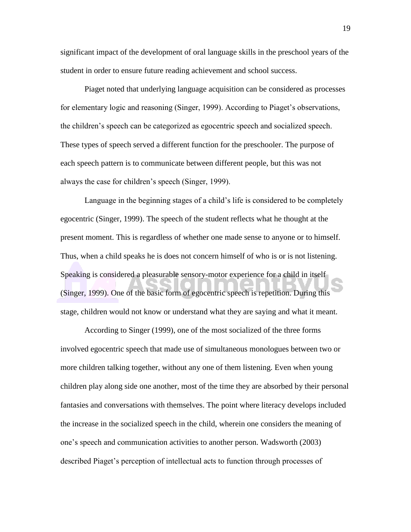significant impact of the development of oral language skills in the preschool years of the student in order to ensure future reading achievement and school success.

Piaget noted that underlying language acquisition can be considered as processes for elementary logic and reasoning (Singer, 1999). According to Piaget's observations, the children's speech can be categorized as egocentric speech and socialized speech. These types of speech served a different function for the preschooler. The purpose of each speech pattern is to communicate between different people, but this was not always the case for children's speech (Singer, 1999).

Language in the beginning stages of a child's life is considered to be completely egocentric (Singer, 1999). The speech of the student reflects what he thought at the present moment. This is regardless of whether one made sense to anyone or to himself. Thus, when a child speaks he is does not concern himself of who is or is not listening. Speaking is considered a pleasurable sensory-motor experience for a child in itself (Singer, 1999). One of the basic form of egocentric speech is repetition. During this stage, children would not know or understand what they are saying and what it meant.

According to Singer (1999), one of the most socialized of the three forms involved egocentric speech that made use of simultaneous monologues between two or more children talking together, without any one of them listening. Even when young children play along side one another, most of the time they are absorbed by their personal fantasies and conversations with themselves. The point where literacy develops included the increase in the socialized speech in the child, wherein one considers the meaning of one's speech and communication activities to another person. Wadsworth (2003) described Piaget's perception of intellectual acts to function through processes of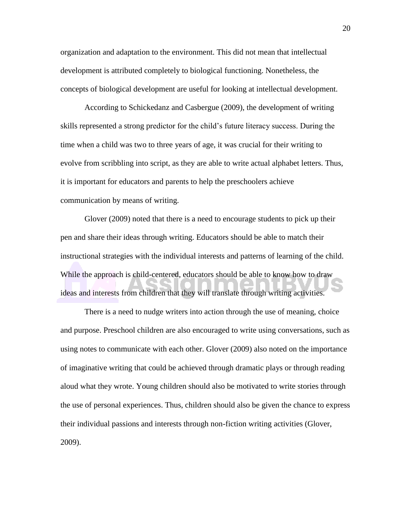organization and adaptation to the environment. This did not mean that intellectual development is attributed completely to biological functioning. Nonetheless, the concepts of biological development are useful for looking at intellectual development.

According to Schickedanz and Casbergue (2009), the development of writing skills represented a strong predictor for the child's future literacy success. During the time when a child was two to three years of age, it was crucial for their writing to evolve from scribbling into script, as they are able to write actual alphabet letters. Thus, it is important for educators and parents to help the preschoolers achieve communication by means of writing.

Glover (2009) noted that there is a need to encourage students to pick up their pen and share their ideas through writing. Educators should be able to match their instructional strategies with the individual interests and patterns of learning of the child. While the approach is child-centered, educators should be able to know how to draw ideas and interests from children that they will translate through writing activities.

There is a need to nudge writers into action through the use of meaning, choice and purpose. Preschool children are also encouraged to write using conversations, such as using notes to communicate with each other. Glover (2009) also noted on the importance of imaginative writing that could be achieved through dramatic plays or through reading aloud what they wrote. Young children should also be motivated to write stories through the use of personal experiences. Thus, children should also be given the chance to express their individual passions and interests through non-fiction writing activities (Glover, 2009).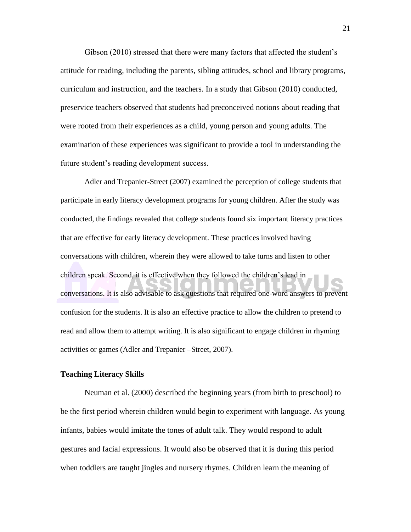<span id="page-23-0"></span>Gibson (2010) stressed that there were many factors that affected the student's attitude for reading, including the parents, sibling attitudes, school and library programs, curriculum and instruction, and the teachers. In a study that Gibson (2010) conducted, preservice teachers observed that students had preconceived notions about reading that were rooted from their experiences as a child, young person and young adults. The examination of these experiences was significant to provide a tool in understanding the future student's reading development success.

Adler and Trepanier-Street (2007) examined the perception of college students that participate in early literacy development programs for young children. After the study was conducted, the findings revealed that college students found six important literacy practices that are effective for early literacy development. These practices involved having conversations with children, wherein they were allowed to take turns and listen to other children speak. Second, it is effective when they followed the children's lead in conversations. It is also advisable to ask questions that required one-word answers to prevent confusion for the students. It is also an effective practice to allow the children to pretend to read and allow them to attempt writing. It is also significant to engage children in rhyming activities or games (Adler and Trepanier –Street, 2007).

## **Teaching Literacy Skills**

Neuman et al. (2000) described the beginning years (from birth to preschool) to be the first period wherein children would begin to experiment with language. As young infants, babies would imitate the tones of adult talk. They would respond to adult gestures and facial expressions. It would also be observed that it is during this period when toddlers are taught jingles and nursery rhymes. Children learn the meaning of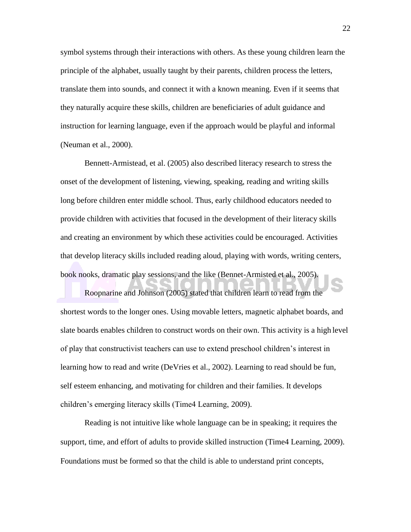symbol systems through their interactions with others. As these young children learn the principle of the alphabet, usually taught by their parents, children process the letters, translate them into sounds, and connect it with a known meaning. Even if it seems that they naturally acquire these skills, children are beneficiaries of adult guidance and instruction for learning language, even if the approach would be playful and informal (Neuman et al., 2000).

Bennett-Armistead, et al. (2005) also described literacy research to stress the onset of the development of listening, viewing, speaking, reading and writing skills long before children enter middle school. Thus, early childhood educators needed to provide children with activities that focused in the development of their literacy skills and creating an environment by which these activities could be encouraged. Activities that develop literacy skills included reading aloud, playing with words, writing centers, book nooks, dramatic play sessions, and the like (Bennet-Armisted et al., 2005).

Roopnarine and Johnson (2005) stated that children learn to read from the shortest words to the longer ones. Using movable letters, magnetic alphabet boards, and slate boards enables children to construct words on their own. This activity is a high level of play that constructivist teachers can use to extend preschool children's interest in learning how to read and write (DeVries et al., 2002). Learning to read should be fun, self esteem enhancing, and motivating for children and their families. It develops children's emerging literacy skills (Time4 Learning, 2009).

Reading is not intuitive like whole language can be in speaking; it requires the support, time, and effort of adults to provide skilled instruction (Time4 Learning, 2009). Foundations must be formed so that the child is able to understand print concepts,

22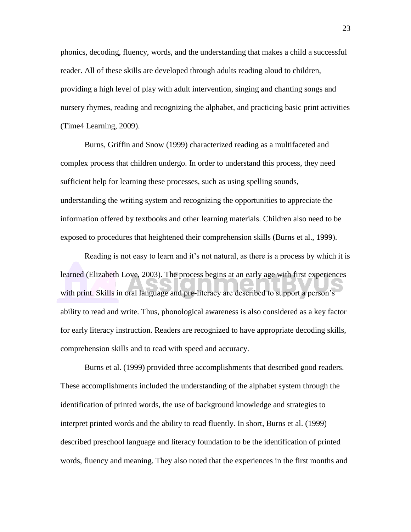phonics, decoding, fluency, words, and the understanding that makes a child a successful reader. All of these skills are developed through adults reading aloud to children, providing a high level of play with adult intervention, singing and chanting songs and nursery rhymes, reading and recognizing the alphabet, and practicing basic print activities (Time4 Learning, 2009).

Burns, Griffin and Snow (1999) characterized reading as a multifaceted and complex process that children undergo. In order to understand this process, they need sufficient help for learning these processes, such as using spelling sounds, understanding the writing system and recognizing the opportunities to appreciate the information offered by textbooks and other learning materials. Children also need to be exposed to procedures that heightened their comprehension skills (Burns et al., 1999).

Reading is not easy to learn and it's not natural, as there is a process by which it is learned (Elizabeth Love, 2003). The process begins at an early age with first experiences with print. Skills in oral language and pre-literacy are described to support a person's ability to read and write. Thus, phonological awareness is also considered as a key factor for early literacy instruction. Readers are recognized to have appropriate decoding skills, comprehension skills and to read with speed and accuracy.

Burns et al. (1999) provided three accomplishments that described good readers. These accomplishments included the understanding of the alphabet system through the identification of printed words, the use of background knowledge and strategies to interpret printed words and the ability to read fluently. In short, Burns et al. (1999) described preschool language and literacy foundation to be the identification of printed words, fluency and meaning. They also noted that the experiences in the first months and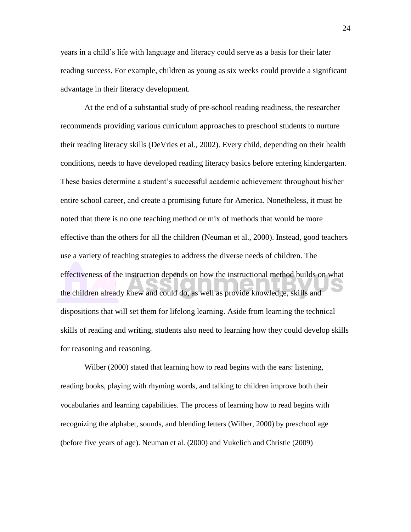years in a child's life with language and literacy could serve as a basis for their later reading success. For example, children as young as six weeks could provide a significant advantage in their literacy development.

At the end of a substantial study of pre-school reading readiness, the researcher recommends providing various curriculum approaches to preschool students to nurture their reading literacy skills (DeVries et al., 2002). Every child, depending on their health conditions, needs to have developed reading literacy basics before entering kindergarten. These basics determine a student's successful academic achievement throughout his/her entire school career, and create a promising future for America. Nonetheless, it must be noted that there is no one teaching method or mix of methods that would be more effective than the others for all the children (Neuman et al., 2000). Instead, good teachers use a variety of teaching strategies to address the diverse needs of children. The effectiveness of the instruction depends on how the instructional method builds on what the children already knew and could do, as well as provide knowledge, skills and dispositions that will set them for lifelong learning. Aside from learning the technical skills of reading and writing, students also need to learning how they could develop skills for reasoning and reasoning.

Wilber (2000) stated that learning how to read begins with the ears: listening, reading books, playing with rhyming words, and talking to children improve both their vocabularies and learning capabilities. The process of learning how to read begins with recognizing the alphabet, sounds, and blending letters (Wilber, 2000) by preschool age (before five years of age). Neuman et al. (2000) and Vukelich and Christie (2009)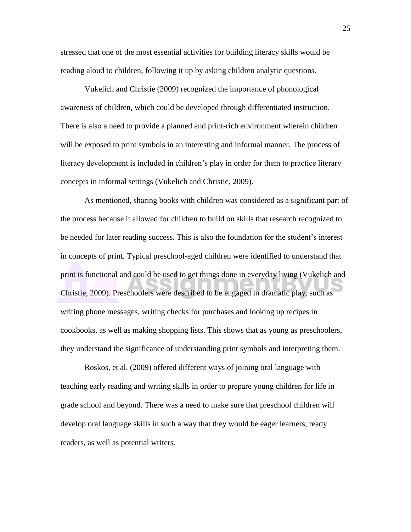stressed that one of the most essential activities for building literacy skills would be reading aloud to children, following it up by asking children analytic questions.

Vukelich and Christie (2009) recognized the importance of phonological awareness of children, which could be developed through differentiated instruction. There is also a need to provide a planned and print-rich environment wherein children will be exposed to print symbols in an interesting and informal manner. The process of literacy development is included in children's play in order for them to practice literary concepts in informal settings (Vukelich and Christie, 2009).

As mentioned, sharing books with children was considered as a significant part of the process because it allowed for children to build on skills that research recognized to be needed for later reading success. This is also the foundation for the student's interest in concepts of print. Typical preschool-aged children were identified to understand that print is functional and could be used to get things done in everyday living (Vukelich and Christie, 2009). Preschoolers were described to be engaged in dramatic play, such as writing phone messages, writing checks for purchases and looking up recipes in cookbooks, as well as making shopping lists. This shows that as young as preschoolers, they understand the significance of understanding print symbols and interpreting them.

Roskos, et al. (2009) offered different ways of joining oral language with teaching early reading and writing skills in order to prepare young children for life in grade school and beyond. There was a need to make sure that preschool children will develop oral language skills in such a way that they would be eager learners, ready readers, as well as potential writers.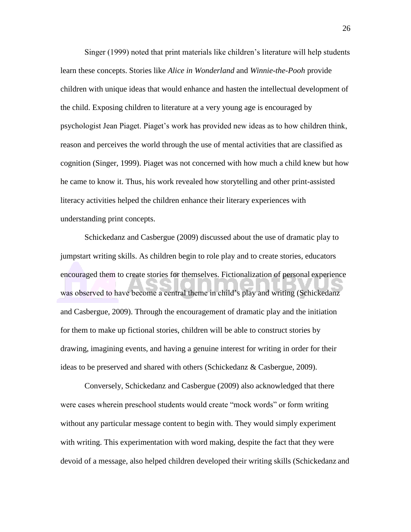Singer (1999) noted that print materials like children's literature will help students learn these concepts. Stories like *Alice in Wonderland* and *Winnie-the-Pooh* provide children with unique ideas that would enhance and hasten the intellectual development of the child. Exposing children to literature at a very young age is encouraged by psychologist Jean Piaget. Piaget's work has provided new ideas as to how children think, reason and perceives the world through the use of mental activities that are classified as cognition (Singer, 1999). Piaget was not concerned with how much a child knew but how he came to know it. Thus, his work revealed how storytelling and other print-assisted literacy activities helped the children enhance their literary experiences with understanding print concepts.

Schickedanz and Casbergue (2009) discussed about the use of dramatic play to jumpstart writing skills. As children begin to role play and to create stories, educators encouraged them to create stories for themselves. Fictionalization of personal experience was observed to have become a central theme in child's play and writing (Schickedanz and Casbergue, 2009). Through the encouragement of dramatic play and the initiation for them to make up fictional stories, children will be able to construct stories by drawing, imagining events, and having a genuine interest for writing in order for their ideas to be preserved and shared with others (Schickedanz & Casbergue, 2009).

Conversely, Schickedanz and Casbergue (2009) also acknowledged that there were cases wherein preschool students would create "mock words" or form writing without any particular message content to begin with. They would simply experiment with writing. This experimentation with word making, despite the fact that they were devoid of a message, also helped children developed their writing skills (Schickedanz and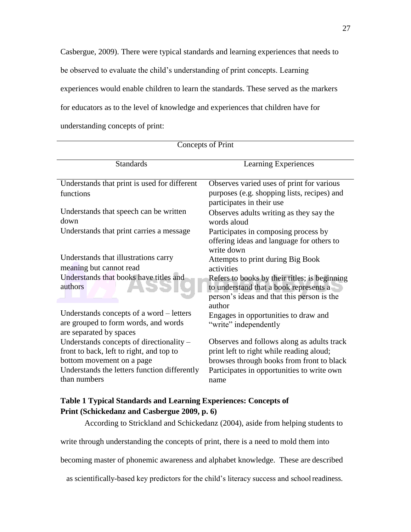<span id="page-29-0"></span>Casbergue, 2009). There were typical standards and learning experiences that needs to be observed to evaluate the child's understanding of print concepts. Learning experiences would enable children to learn the standards. These served as the markers for educators as to the level of knowledge and experiences that children have for understanding concepts of print:

| Concepts of Print                                                                                                                                                                 |                                                                                                                                                                                           |  |
|-----------------------------------------------------------------------------------------------------------------------------------------------------------------------------------|-------------------------------------------------------------------------------------------------------------------------------------------------------------------------------------------|--|
| Standards                                                                                                                                                                         | Learning Experiences                                                                                                                                                                      |  |
| Understands that print is used for different<br>functions                                                                                                                         | Observes varied uses of print for various<br>purposes (e.g. shopping lists, recipes) and<br>participates in their use                                                                     |  |
| Understands that speech can be written<br>down                                                                                                                                    | Observes adults writing as they say the<br>words aloud                                                                                                                                    |  |
| Understands that print carries a message                                                                                                                                          | Participates in composing process by<br>offering ideas and language for others to<br>write down                                                                                           |  |
| Understands that illustrations carry<br>meaning but cannot read                                                                                                                   | Attempts to print during Big Book<br>activities                                                                                                                                           |  |
| Understands that books have titles and<br>authors                                                                                                                                 | Refers to books by their titles; is beginning<br>to understand that a book represents a<br>person's ideas and that this person is the<br>author                                           |  |
| Understands concepts of a word – letters<br>are grouped to form words, and words<br>are separated by spaces                                                                       | Engages in opportunities to draw and<br>"write" independently                                                                                                                             |  |
| Understands concepts of directionality –<br>front to back, left to right, and top to<br>bottom movement on a page<br>Understands the letters function differently<br>than numbers | Observes and follows along as adults track<br>print left to right while reading aloud;<br>browses through books from front to black<br>Participates in opportunities to write own<br>name |  |

# **Table 1 Typical Standards and Learning Experiences: Concepts of Print (Schickedanz and Casbergue 2009, p. 6)**

According to Strickland and Schickedanz (2004), aside from helping students to

write through understanding the concepts of print, there is a need to mold them into

becoming master of phonemic awareness and alphabet knowledge. These are described

as scientifically-based key predictors for the child's literacy success and schoolreadiness.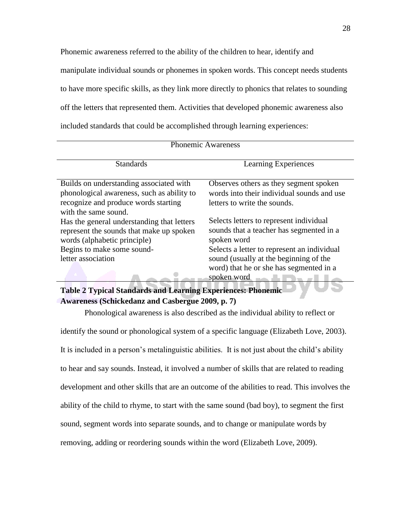<span id="page-30-0"></span>Phonemic awareness referred to the ability of the children to hear, identify and manipulate individual sounds or phonemes in spoken words. This concept needs students to have more specific skills, as they link more directly to phonics that relates to sounding off the letters that represented them. Activities that developed phonemic awareness also included standards that could be accomplished through learning experiences:

| <b>Phonemic Awareness</b>                                                                                                                             |                                                                                                                                                 |  |
|-------------------------------------------------------------------------------------------------------------------------------------------------------|-------------------------------------------------------------------------------------------------------------------------------------------------|--|
| <b>Standards</b>                                                                                                                                      | Learning Experiences                                                                                                                            |  |
| Builds on understanding associated with<br>phonological awareness, such as ability to<br>recognize and produce words starting<br>with the same sound. | Observes others as they segment spoken<br>words into their individual sounds and use<br>letters to write the sounds.                            |  |
| Has the general understanding that letters<br>represent the sounds that make up spoken<br>words (alphabetic principle)                                | Selects letters to represent individual<br>sounds that a teacher has segmented in a<br>spoken word                                              |  |
| Begins to make some sound-<br>letter association                                                                                                      | Selects a letter to represent an individual<br>sound (usually at the beginning of the<br>word) that he or she has segmented in a<br>spoken word |  |
| Table 2 Typical Standards and Learning Experiences: Phonemic                                                                                          |                                                                                                                                                 |  |

# **Table 2 Typical Standards and Learning Experiences: Phonemic Awareness (Schickedanz and Casbergue 2009, p. 7)**

Phonological awareness is also described as the individual ability to reflect or identify the sound or phonological system of a specific language (Elizabeth Love, 2003). It is included in a person's metalinguistic abilities. It is not just about the child's ability to hear and say sounds. Instead, it involved a number of skills that are related to reading development and other skills that are an outcome of the abilities to read. This involves the ability of the child to rhyme, to start with the same sound (bad boy), to segment the first sound, segment words into separate sounds, and to change or manipulate words by removing, adding or reordering sounds within the word (Elizabeth Love, 2009).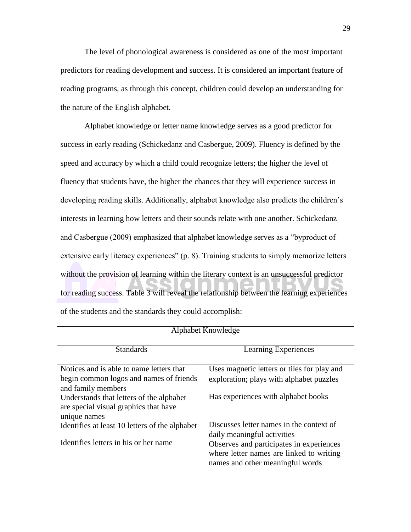The level of phonological awareness is considered as one of the most important predictors for reading development and success. It is considered an important feature of reading programs, as through this concept, children could develop an understanding for the nature of the English alphabet.

Alphabet knowledge or letter name knowledge serves as a good predictor for success in early reading (Schickedanz and Casbergue, 2009). Fluency is defined by the speed and accuracy by which a child could recognize letters; the higher the level of fluency that students have, the higher the chances that they will experience success in developing reading skills. Additionally, alphabet knowledge also predicts the children's interests in learning how letters and their sounds relate with one another. Schickedanz and Casbergue (2009) emphasized that alphabet knowledge serves as a "byproduct of extensive early literacy experiences" (p. 8). Training students to simply memorize letters without the provision of learning within the literary context is an unsuccessful predictor for reading success. Table 3 will reveal the relationship between the learning experiences of the students and the standards they could accomplish:

| Alphabet Mhowledge                                                                                        |                                                                                                                          |  |
|-----------------------------------------------------------------------------------------------------------|--------------------------------------------------------------------------------------------------------------------------|--|
| <b>Standards</b>                                                                                          | Learning Experiences                                                                                                     |  |
| Notices and is able to name letters that<br>begin common logos and names of friends<br>and family members | Uses magnetic letters or tiles for play and<br>exploration; plays with alphabet puzzles                                  |  |
| Understands that letters of the alphabet<br>are special visual graphics that have<br>unique names         | Has experiences with alphabet books                                                                                      |  |
| Identifies at least 10 letters of the alphabet                                                            | Discusses letter names in the context of<br>daily meaningful activities                                                  |  |
| Identifies letters in his or her name                                                                     | Observes and participates in experiences<br>where letter names are linked to writing<br>names and other meaningful words |  |

 $\lambda$  let  $\lambda$  be  $K$  a smaller than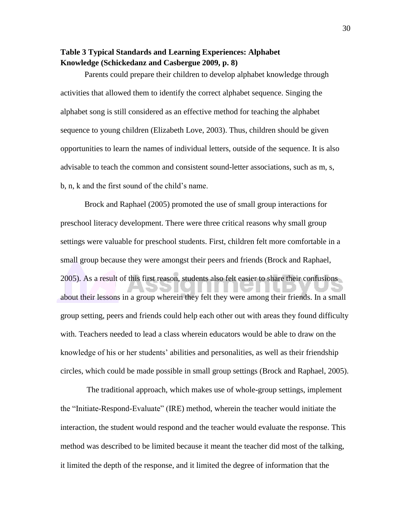# <span id="page-32-0"></span>**Table 3 Typical Standards and Learning Experiences: Alphabet Knowledge (Schickedanz and Casbergue 2009, p. 8)**

Parents could prepare their children to develop alphabet knowledge through activities that allowed them to identify the correct alphabet sequence. Singing the alphabet song is still considered as an effective method for teaching the alphabet sequence to young children (Elizabeth Love, 2003). Thus, children should be given opportunities to learn the names of individual letters, outside of the sequence. It is also advisable to teach the common and consistent sound-letter associations, such as m, s, b, n, k and the first sound of the child's name.

Brock and Raphael (2005) promoted the use of small group interactions for preschool literacy development. There were three critical reasons why small group settings were valuable for preschool students. First, children felt more comfortable in a small group because they were amongst their peers and friends (Brock and Raphael, 2005). As a result of this first reason, students also felt easier to share their confusions about their lessons in a group wherein they felt they were among their friends. In a small group setting, peers and friends could help each other out with areas they found difficulty with. Teachers needed to lead a class wherein educators would be able to draw on the knowledge of his or her students' abilities and personalities, as well as their friendship circles, which could be made possible in small group settings (Brock and Raphael, 2005).

The traditional approach, which makes use of whole-group settings, implement the "Initiate-Respond-Evaluate" (IRE) method, wherein the teacher would initiate the interaction, the student would respond and the teacher would evaluate the response. This method was described to be limited because it meant the teacher did most of the talking, it limited the depth of the response, and it limited the degree of information that the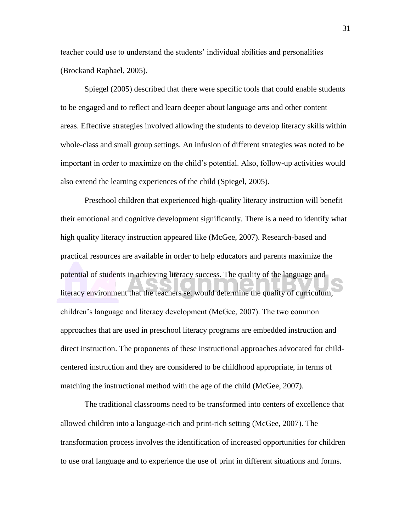teacher could use to understand the students' individual abilities and personalities (Brockand Raphael, 2005).

Spiegel (2005) described that there were specific tools that could enable students to be engaged and to reflect and learn deeper about language arts and other content areas. Effective strategies involved allowing the students to develop literacy skills within whole-class and small group settings. An infusion of different strategies was noted to be important in order to maximize on the child's potential. Also, follow-up activities would also extend the learning experiences of the child (Spiegel, 2005).

Preschool children that experienced high-quality literacy instruction will benefit their emotional and cognitive development significantly. There is a need to identify what high quality literacy instruction appeared like (McGee, 2007). Research-based and practical resources are available in order to help educators and parents maximize the potential of students in achieving literacy success. The quality of the language and literacy environment that the teachers set would determine the quality of curriculum, children's language and literacy development (McGee, 2007). The two common approaches that are used in preschool literacy programs are embedded instruction and direct instruction. The proponents of these instructional approaches advocated for childcentered instruction and they are considered to be childhood appropriate, in terms of matching the instructional method with the age of the child (McGee, 2007).

The traditional classrooms need to be transformed into centers of excellence that allowed children into a language-rich and print-rich setting (McGee, 2007). The transformation process involves the identification of increased opportunities for children to use oral language and to experience the use of print in different situations and forms.

31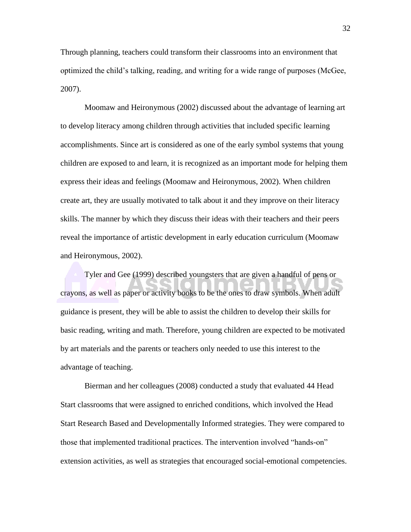Through planning, teachers could transform their classrooms into an environment that optimized the child's talking, reading, and writing for a wide range of purposes (McGee, 2007).

Moomaw and Heironymous (2002) discussed about the advantage of learning art to develop literacy among children through activities that included specific learning accomplishments. Since art is considered as one of the early symbol systems that young children are exposed to and learn, it is recognized as an important mode for helping them express their ideas and feelings (Moomaw and Heironymous, 2002). When children create art, they are usually motivated to talk about it and they improve on their literacy skills. The manner by which they discuss their ideas with their teachers and their peers reveal the importance of artistic development in early education curriculum (Moomaw and Heironymous, 2002).

Tyler and Gee (1999) described youngsters that are given a handful of pens or crayons, as well as paper or activity books to be the ones to draw symbols. When adult guidance is present, they will be able to assist the children to develop their skills for basic reading, writing and math. Therefore, young children are expected to be motivated by art materials and the parents or teachers only needed to use this interest to the advantage of teaching.

Bierman and her colleagues (2008) conducted a study that evaluated 44 Head Start classrooms that were assigned to enriched conditions, which involved the Head Start Research Based and Developmentally Informed strategies. They were compared to those that implemented traditional practices. The intervention involved "hands-on" extension activities, as well as strategies that encouraged social-emotional competencies.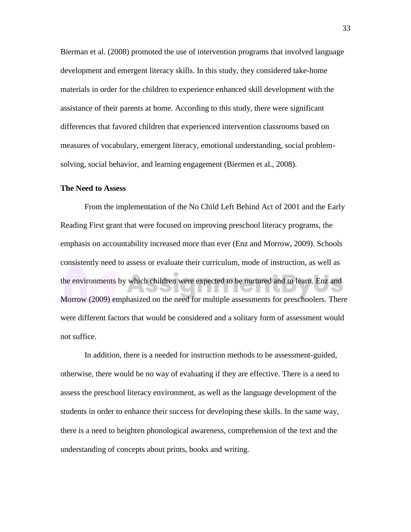<span id="page-35-0"></span>Bierman et al. (2008) promoted the use of intervention programs that involved language development and emergent literacy skills. In this study, they considered take-home materials in order for the children to experience enhanced skill development with the assistance of their parents at home. According to this study, there were significant differences that favored children that experienced intervention classrooms based on measures of vocabulary, emergent literacy, emotional understanding, social problemsolving, social behavior, and learning engagement (Biermen et al., 2008).

# **The Need to Assess**

From the implementation of the No Child Left Behind Act of 2001 and the Early Reading First grant that were focused on improving preschool literacy programs, the emphasis on accountability increased more than ever (Enz and Morrow, 2009). Schools consistently need to assess or evaluate their curriculum, mode of instruction, as well as the environments by which children were expected to be nurtured and to learn. Enz and Morrow (2009) emphasized on the need for multiple assessments for preschoolers. There were different factors that would be considered and a solitary form of assessment would not suffice.

In addition, there is a needed for instruction methods to be assessment-guided, otherwise, there would be no way of evaluating if they are effective. There is a need to assess the preschool literacy environment, as well as the language development of the students in order to enhance their success for developing these skills. In the same way, there is a need to heighten phonological awareness, comprehension of the text and the understanding of concepts about prints, books and writing.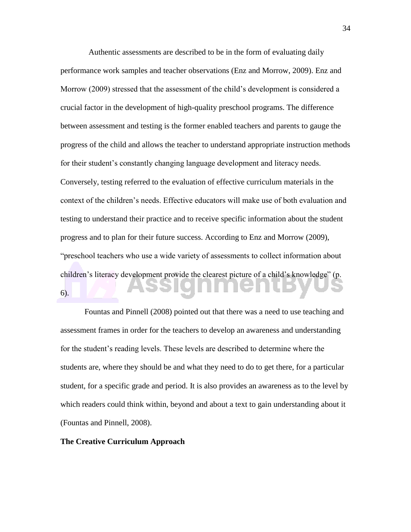Authentic assessments are described to be in the form of evaluating daily performance work samples and teacher observations (Enz and Morrow, 2009). Enz and Morrow (2009) stressed that the assessment of the child's development is considered a crucial factor in the development of high-quality preschool programs. The difference between assessment and testing is the former enabled teachers and parents to gauge the progress of the child and allows the teacher to understand appropriate instruction methods for their student's constantly changing language development and literacy needs. Conversely, testing referred to the evaluation of effective curriculum materials in the context of the children's needs. Effective educators will make use of both evaluation and testing to understand their practice and to receive specific information about the student progress and to plan for their future success. According to Enz and Morrow (2009), "preschool teachers who use a wide variety of assessments to collect information about children's literacy development provide the clearest picture of a child's knowledge" (p. 6).

Fountas and Pinnell (2008) pointed out that there was a need to use teaching and assessment frames in order for the teachers to develop an awareness and understanding for the student's reading levels. These levels are described to determine where the students are, where they should be and what they need to do to get there, for a particular student, for a specific grade and period. It is also provides an awareness as to the level by which readers could think within, beyond and about a text to gain understanding about it (Fountas and Pinnell, 2008).

## **The Creative Curriculum Approach**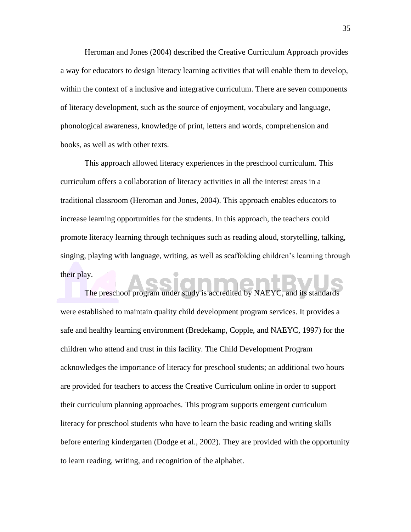Heroman and Jones (2004) described the Creative Curriculum Approach provides a way for educators to design literacy learning activities that will enable them to develop, within the context of a inclusive and integrative curriculum. There are seven components of literacy development, such as the source of enjoyment, vocabulary and language, phonological awareness, knowledge of print, letters and words, comprehension and books, as well as with other texts.

This approach allowed literacy experiences in the preschool curriculum. This curriculum offers a collaboration of literacy activities in all the interest areas in a traditional classroom (Heroman and Jones, 2004). This approach enables educators to increase learning opportunities for the students. In this approach, the teachers could promote literacy learning through techniques such as reading aloud, storytelling, talking, singing, playing with language, writing, as well as scaffolding children's learning through their play.

The preschool program under study is accredited by NAEYC, and its standards were established to maintain quality child development program services. It provides a safe and healthy learning environment (Bredekamp, Copple, and NAEYC, 1997) for the children who attend and trust in this facility. The Child Development Program acknowledges the importance of literacy for preschool students; an additional two hours are provided for teachers to access the Creative Curriculum online in order to support their curriculum planning approaches. This program supports emergent curriculum literacy for preschool students who have to learn the basic reading and writing skills before entering kindergarten (Dodge et al., 2002). They are provided with the opportunity to learn reading, writing, and recognition of the alphabet.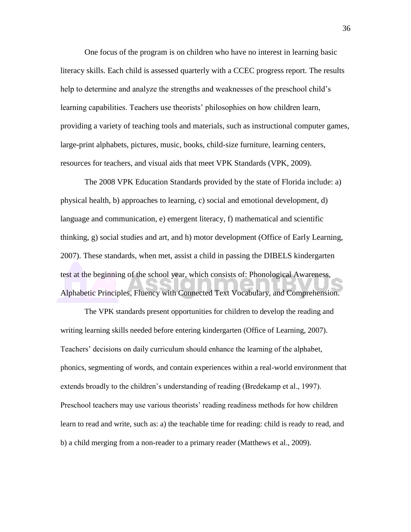One focus of the program is on children who have no interest in learning basic literacy skills. Each child is assessed quarterly with a CCEC progress report. The results help to determine and analyze the strengths and weaknesses of the preschool child's learning capabilities. Teachers use theorists' philosophies on how children learn, providing a variety of teaching tools and materials, such as instructional computer games, large-print alphabets, pictures, music, books, child-size furniture, learning centers, resources for teachers, and visual aids that meet VPK Standards (VPK, 2009).

The 2008 VPK Education Standards provided by the state of Florida include: a) physical health, b) approaches to learning, c) social and emotional development, d) language and communication, e) emergent literacy, f) mathematical and scientific thinking, g) social studies and art, and h) motor development (Office of Early Learning, 2007). These standards, when met, assist a child in passing the DIBELS kindergarten test at the beginning of the school year, which consists of: Phonological Awareness, Alphabetic Principles, Fluency with Connected Text Vocabulary, and Comprehension.

The VPK standards present opportunities for children to develop the reading and writing learning skills needed before entering kindergarten (Office of Learning, 2007). Teachers' decisions on daily curriculum should enhance the learning of the alphabet, phonics, segmenting of words, and contain experiences within a real-world environment that extends broadly to the children's understanding of reading (Bredekamp et al., 1997). Preschool teachers may use various theorists' reading readiness methods for how children learn to read and write, such as: a) the teachable time for reading: child is ready to read, and b) a child merging from a non-reader to a primary reader (Matthews et al., 2009).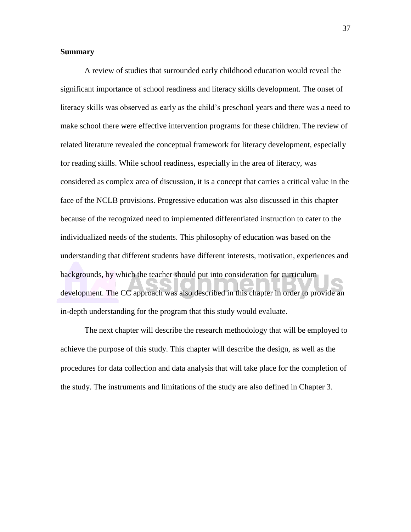# <span id="page-39-0"></span>**Summary**

A review of studies that surrounded early childhood education would reveal the significant importance of school readiness and literacy skills development. The onset of literacy skills was observed as early as the child's preschool years and there was a need to make school there were effective intervention programs for these children. The review of related literature revealed the conceptual framework for literacy development, especially for reading skills. While school readiness, especially in the area of literacy, was considered as complex area of discussion, it is a concept that carries a critical value in the face of the NCLB provisions. Progressive education was also discussed in this chapter because of the recognized need to implemented differentiated instruction to cater to the individualized needs of the students. This philosophy of education was based on the understanding that different students have different interests, motivation, experiences and backgrounds, by which the teacher should put into consideration for curriculum development. The CC approach was also described in this chapter in order to provide an in-depth understanding for the program that this study would evaluate.

The next chapter will describe the research methodology that will be employed to achieve the purpose of this study. This chapter will describe the design, as well as the procedures for data collection and data analysis that will take place for the completion of the study. The instruments and limitations of the study are also defined in Chapter 3.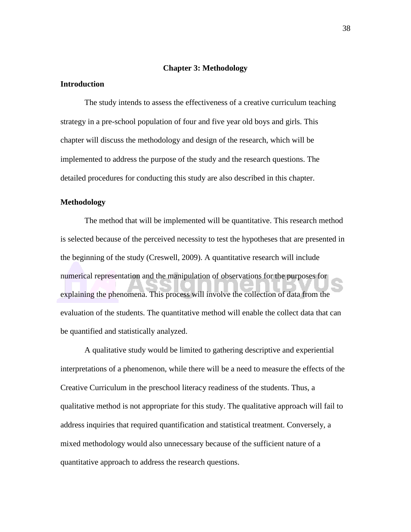# **Chapter 3: Methodology**

## <span id="page-40-0"></span>**Introduction**

The study intends to assess the effectiveness of a creative curriculum teaching strategy in a pre-school population of four and five year old boys and girls. This chapter will discuss the methodology and design of the research, which will be implemented to address the purpose of the study and the research questions. The detailed procedures for conducting this study are also described in this chapter.

# **Methodology**

The method that will be implemented will be quantitative. This research method is selected because of the perceived necessity to test the hypotheses that are presented in the beginning of the study (Creswell, 2009). A quantitative research will include numerical representation and the manipulation of observations for the purposes for explaining the phenomena. This process will involve the collection of data from the evaluation of the students. The quantitative method will enable the collect data that can be quantified and statistically analyzed.

A qualitative study would be limited to gathering descriptive and experiential interpretations of a phenomenon, while there will be a need to measure the effects of the Creative Curriculum in the preschool literacy readiness of the students. Thus, a qualitative method is not appropriate for this study. The qualitative approach will fail to address inquiries that required quantification and statistical treatment. Conversely, a mixed methodology would also unnecessary because of the sufficient nature of a quantitative approach to address the research questions.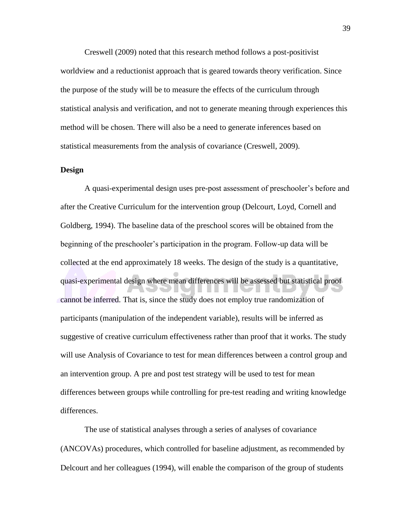<span id="page-41-0"></span>Creswell (2009) noted that this research method follows a post-positivist worldview and a reductionist approach that is geared towards theory verification. Since the purpose of the study will be to measure the effects of the curriculum through statistical analysis and verification, and not to generate meaning through experiences this method will be chosen. There will also be a need to generate inferences based on statistical measurements from the analysis of covariance (Creswell, 2009).

# **Design**

A quasi-experimental design uses pre-post assessment of preschooler's before and after the Creative Curriculum for the intervention group (Delcourt, Loyd, Cornell and Goldberg, 1994). The baseline data of the preschool scores will be obtained from the beginning of the preschooler's participation in the program. Follow-up data will be collected at the end approximately 18 weeks. The design of the study is a quantitative, quasi-experimental design where mean differences will be assessed but statistical proof cannot be inferred. That is, since the study does not employ true randomization of participants (manipulation of the independent variable), results will be inferred as suggestive of creative curriculum effectiveness rather than proof that it works. The study will use Analysis of Covariance to test for mean differences between a control group and an intervention group. A pre and post test strategy will be used to test for mean differences between groups while controlling for pre-test reading and writing knowledge differences.

The use of statistical analyses through a series of analyses of covariance (ANCOVAs) procedures, which controlled for baseline adjustment, as recommended by Delcourt and her colleagues (1994), will enable the comparison of the group of students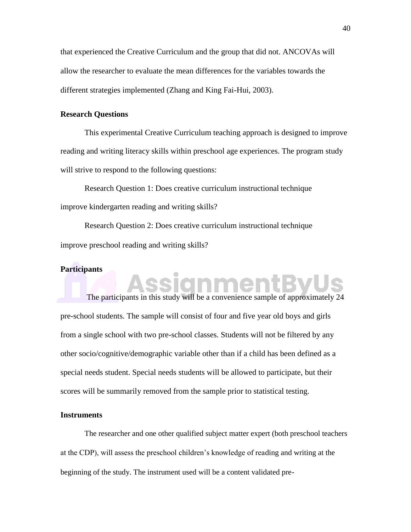<span id="page-42-0"></span>that experienced the Creative Curriculum and the group that did not. ANCOVAs will allow the researcher to evaluate the mean differences for the variables towards the different strategies implemented (Zhang and King Fai-Hui, 2003).

# **Research Questions**

This experimental Creative Curriculum teaching approach is designed to improve reading and writing literacy skills within preschool age experiences. The program study will strive to respond to the following questions:

Research Question 1: Does creative curriculum instructional technique improve kindergarten reading and writing skills?

Research Question 2: Does creative curriculum instructional technique improve preschool reading and writing skills?

siann

# **Participants**

The participants in this study will be a convenience sample of approximately 24 pre-school students. The sample will consist of four and five year old boys and girls from a single school with two pre-school classes. Students will not be filtered by any other socio/cognitive/demographic variable other than if a child has been defined as a special needs student. Special needs students will be allowed to participate, but their scores will be summarily removed from the sample prior to statistical testing.

# **Instruments**

The researcher and one other qualified subject matter expert (both preschool teachers at the CDP), will assess the preschool children's knowledge of reading and writing at the beginning of the study. The instrument used will be a content validated pre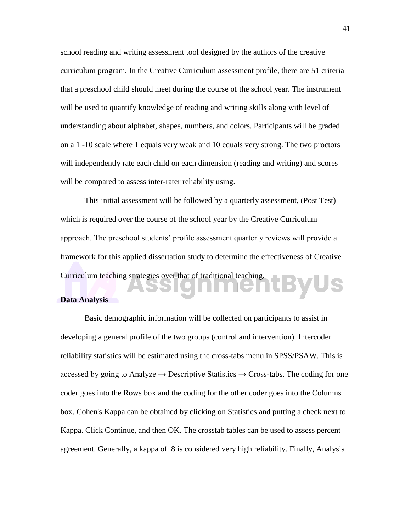<span id="page-43-0"></span>school reading and writing assessment tool designed by the authors of the creative curriculum program. In the Creative Curriculum assessment profile, there are 51 criteria that a preschool child should meet during the course of the school year. The instrument will be used to quantify knowledge of reading and writing skills along with level of understanding about alphabet, shapes, numbers, and colors. Participants will be graded on a 1 -10 scale where 1 equals very weak and 10 equals very strong. The two proctors will independently rate each child on each dimension (reading and writing) and scores will be compared to assess inter-rater reliability using.

This initial assessment will be followed by a quarterly assessment, (Post Test) which is required over the course of the school year by the Creative Curriculum approach. The preschool students' profile assessment quarterly reviews will provide a framework for this applied dissertation study to determine the effectiveness of Creative Curriculum teaching strategies over that of traditional teaching. tByUs

# **Data Analysis**

Basic demographic information will be collected on participants to assist in developing a general profile of the two groups (control and intervention). Intercoder reliability statistics will be estimated using the cross-tabs menu in SPSS/PSAW. This is accessed by going to Analyze  $\rightarrow$  Descriptive Statistics  $\rightarrow$  Cross-tabs. The coding for one coder goes into the Rows box and the coding for the other coder goes into the Columns box. Cohen's Kappa can be obtained by clicking on Statistics and putting a check next to Kappa. Click Continue, and then OK. The crosstab tables can be used to assess percent agreement. Generally, a kappa of .8 is considered very high reliability. Finally, Analysis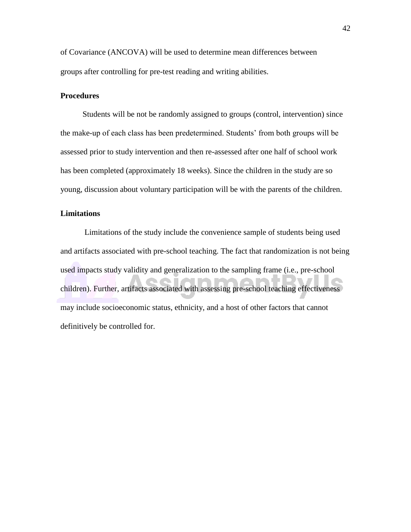<span id="page-44-0"></span>of Covariance (ANCOVA) will be used to determine mean differences between groups after controlling for pre-test reading and writing abilities.

# **Procedures**

Students will be not be randomly assigned to groups (control, intervention) since the make-up of each class has been predetermined. Students' from both groups will be assessed prior to study intervention and then re-assessed after one half of school work has been completed (approximately 18 weeks). Since the children in the study are so young, discussion about voluntary participation will be with the parents of the children.

# **Limitations**

Limitations of the study include the convenience sample of students being used and artifacts associated with pre-school teaching. The fact that randomization is not being used impacts study validity and generalization to the sampling frame (i.e., pre-school children). Further, artifacts associated with assessing pre-school teaching effectiveness may include socioeconomic status, ethnicity, and a host of other factors that cannot definitively be controlled for.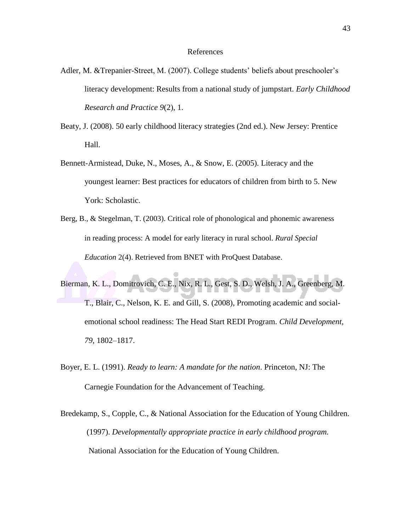# References

- <span id="page-45-0"></span>Adler, M. &Trepanier-Street, M. (2007). College students' beliefs about preschooler's literacy development: Results from a national study of jumpstart. *Early Childhood Research and Practice 9*(2), 1.
- Beaty, J. (2008). 50 early childhood literacy strategies (2nd ed.). New Jersey: Prentice Hall.
- Bennett-Armistead, Duke, N., Moses, A., & Snow, E. (2005). Literacy and the youngest learner: Best practices for educators of children from birth to 5. New York: Scholastic.
- Berg, B., & Stegelman, T. (2003). Critical role of phonological and phonemic awareness in reading process: A model for early literacy in rural school. *Rural Special Education* 2(4). Retrieved from BNET with ProQuest Database.
- Bierman, K. L., Domitrovich, C. E., Nix, R. L., Gest, S. D., Welsh, J. A., Greenberg, M. T., Blair, C., Nelson, K. E. and Gill, S. (2008), Promoting academic and socialemotional school readiness: The Head Start REDI Program. *Child Development, 79*, 1802–1817.
- Boyer, E. L. (1991). *Ready to learn: A mandate for the nation*. Princeton, NJ: The Carnegie Foundation for the Advancement of Teaching.
- Bredekamp, S., Copple, C., & National Association for the Education of Young Children. (1997). *Developmentally appropriate practice in early childhood program.* National Association for the Education of Young Children.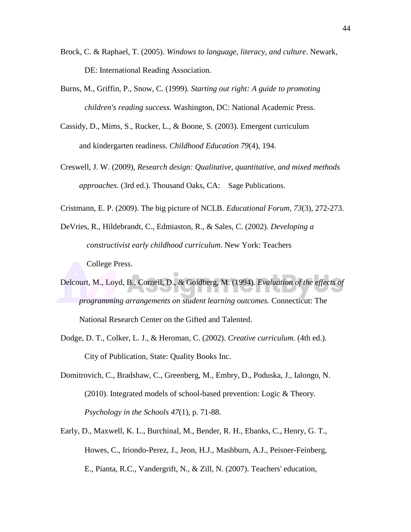- Brock, C. & Raphael, T. (2005). *Windows to language, literacy, and culture*. Newark, DE: International Reading Association.
- Burns, M., Griffin, P., Snow, C. (1999). *Starting out right: A guide to promoting children's reading success.* Washington, DC: National Academic Press.
- Cassidy, D., Mims, S., Rucker, L., & Boone, S. (2003). Emergent curriculum and kindergarten readiness. *Childhood Education 79*(4), 194.
- Creswell, J. W. (2009), *Research design: Qualitative, quantitative, and mixed methods approaches*. (3rd ed.). Thousand Oaks, CA: Sage Publications.
- Cristmann, E. P. (2009). The big picture of NCLB. *Educational Forum, 73*(3), 272-273.
- DeVries, R., Hildebrandt, C., Edmiaston, R., & Sales, C. (2002). *Developing a constructivist early childhood curriculum*. New York: Teachers College Press.
- Delcourt, M., Loyd, B., Cornell, D., & Goldberg, M. (1994). *Evaluation of the effects of programming arrangements on student learning outcomes.* Connecticut: The National Research Center on the Gifted and Talented.
- Dodge, D. T., Colker, L. J., & Heroman, C. (2002). *Creative curriculum.* (4th ed.). City of Publication, State: Quality Books Inc.
- Domitrovich, C., Bradshaw, C., Greenberg, M., Embry, D., Poduska, J., Ialongo, N.  $(2010)$ . Integrated models of school-based prevention: Logic & Theory. *Psychology in the Schools 47*(1), p. 71-88.
- Early, D., Maxwell, K. L., Burchinal, M., Bender, R. H., Ebanks, C., Henry, G. T., Howes, C., Iriondo-Perez, J., Jeon, H.J., Mashburn, A.J., Peisner-Feinberg, E., Pianta, R.C., Vandergrift, N., & Zill, N. (2007). Teachers' education,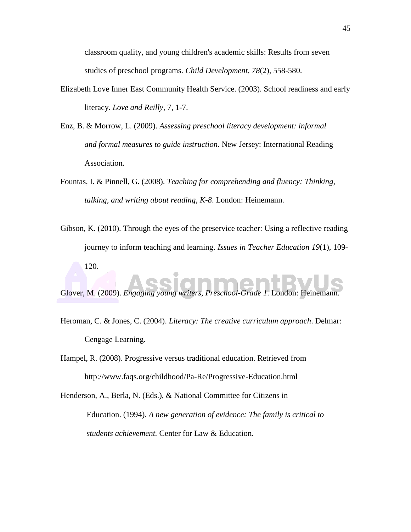classroom quality, and young children's academic skills: Results from seven studies of preschool programs. *Child Development, 78*(2), 558-580.

- Elizabeth Love Inner East Community Health Service. (2003). School readiness and early literacy. *Love and Reilly*, 7, 1-7.
- Enz, B. & Morrow, L. (2009). *Assessing preschool literacy development: informal and formal measures to guide instruction*. New Jersey: International Reading Association.
- Fountas, I. & Pinnell, G. (2008). *Teaching for comprehending and fluency: Thinking, talking, and writing about reading, K-8*. London: Heinemann.
- Gibson, K. (2010). Through the eyes of the preservice teacher: Using a reflective reading journey to inform teaching and learning. *Issues in Teacher Education 19*(1), 109- 120.

Glover, M. (2009). *Engaging young writers, Preschool-Grade 1*. London: Heinemann.

- Heroman, C. & Jones, C. (2004). *Literacy: The creative curriculum approach*. Delmar: Cengage Learning.
- Hampel, R. (2008). Progressive versus traditional education. Retrieved from <http://www.faqs.org/childhood/Pa-Re/Progressive-Education.html>

Henderson, A., Berla, N. (Eds.), & National Committee for Citizens in Education. (1994). *A new generation of evidence: The family is critical to students achievement.* Center for Law & Education.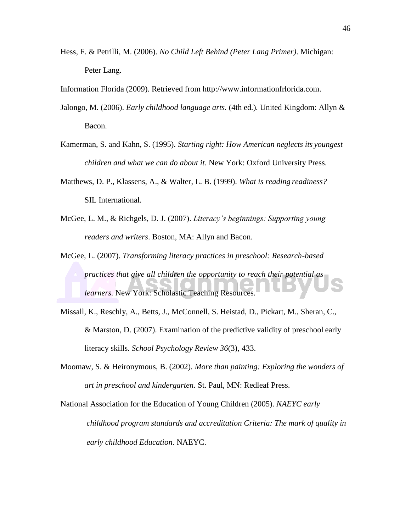- Hess, F. & Petrilli, M. (2006). *No Child Left Behind (Peter Lang Primer)*. Michigan: Peter Lang.
- Information Florida (2009). Retrieved from [http://www.informationfrlorida.com.](http://www.informationfrlorida.com/)
- Jalongo, M. (2006). *Early childhood language arts.* (4th ed*.*)*.* United Kingdom: Allyn & Bacon.
- Kamerman, S. and Kahn, S. (1995). *Starting right: How American neglects its youngest children and what we can do about it*. New York: Oxford University Press.
- Matthews, D. P., Klassens, A., & Walter, L. B. (1999). *What is reading readiness?* SIL International.
- McGee, L. M., & Richgels, D. J. (2007). *Literacy's beginnings: Supporting young readers and writers*. Boston, MA: Allyn and Bacon.
- McGee, L. (2007). *Transforming literacy practices in preschool: Research-based practices that give all children the opportunity to reach their potential as learners.* New York: Scholastic Teaching Resources.
- Missall, K., Reschly, A., Betts, J., McConnell, S. Heistad, D., Pickart, M., Sheran, C., & Marston, D. (2007). Examination of the predictive validity of preschool early literacy skills. *School Psychology Review 36*(3), 433.
- Moomaw, S. & Heironymous, B. (2002). *More than painting: Exploring the wonders of art in preschool and kindergarten.* St. Paul, MN: Redleaf Press.

National Association for the Education of Young Children (2005). *NAEYC early childhood program standards and accreditation Criteria: The mark of quality in early childhood Education.* NAEYC.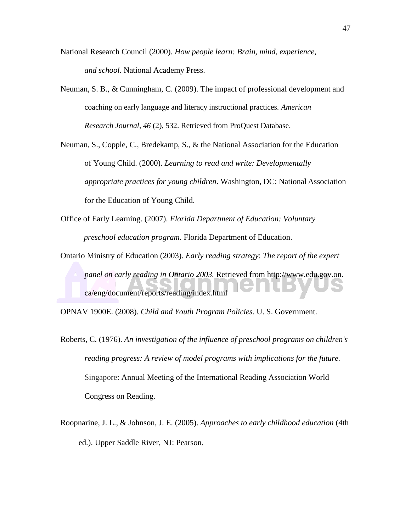- National Research Council (2000). *How people learn: Brain, mind, experience, and school.* National Academy Press.
- Neuman, S. B., & Cunningham, C. (2009). The impact of professional development and coaching on early language and literacy instructional practices. *American Research Journal, 46* (2), 532. Retrieved from ProQuest Database.

Neuman, S., Copple, C., Bredekamp, S., & the National Association for the Education of Young Child. (2000). *Learning to read and write: Developmentally appropriate practices for young children*. Washington, DC: National Association for the Education of Young Child.

- Office of Early Learning. (2007). *Florida Department of Education: Voluntary preschool education program.* Florida Department of Education.
- Ontario Ministry of Education (2003). *Early reading strategy*: *The report of the expert panel on early reading in Ontario 2003.* Retrieved from [http://www.edu.gov.on.](http://www.edu.gov.on/) ca/eng/document/reports/reading/index.html

OPNAV 1900E. (2008). *Child and Youth Program Policies.* U. S. Government.

- Roberts, C. (1976). *An investigation of the influence of preschool programs on children's reading progress: A review of model programs with implications for the future.* Singapore: Annual Meeting of the International Reading Association World Congress on Reading.
- Roopnarine, J. L., & Johnson, J. E. (2005). *Approaches to early childhood education* (4th ed.). Upper Saddle River, NJ: Pearson.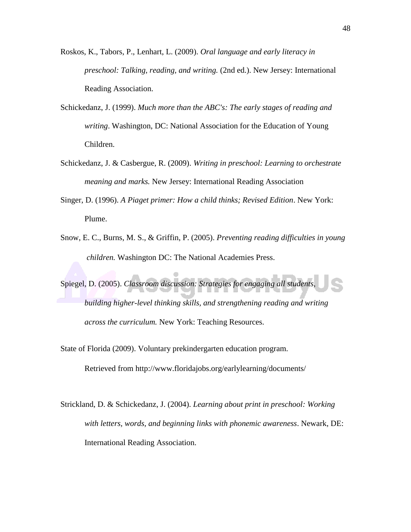- Roskos, K., Tabors, P., Lenhart, L. (2009). *Oral language and early literacy in preschool: Talking, reading, and writing.* (2nd ed.). New Jersey: International Reading Association.
- Schickedanz, J. (1999). *Much more than the ABC's: The early stages of reading and writing*. Washington, DC: National Association for the Education of Young Children.
- Schickedanz, J. & Casbergue, R. (2009). *Writing in preschool: Learning to orchestrate meaning and marks.* New Jersey: International Reading Association
- Singer, D. (1996). *A Piaget primer: How a child thinks; Revised Edition*. New York: Plume.
- Snow, E. C., Burns, M. S., & Griffin, P. (2005). *Preventing reading difficulties in young children.* Washington DC: The National Academies Press.

Spiegel, D. (2005). *Classroom discussion: Strategies for engaging all students,* 

*building higher-level thinking skills, and strengthening reading and writing across the curriculum.* New York: Teaching Resources.

State of Florida (2009). Voluntary prekindergarten education program.

Retrieved from<http://www.floridajobs.org/earlylearning/documents/>

Strickland, D. & Schickedanz, J. (2004). *Learning about print in preschool: Working with letters, words, and beginning links with phonemic awareness*. Newark, DE: International Reading Association.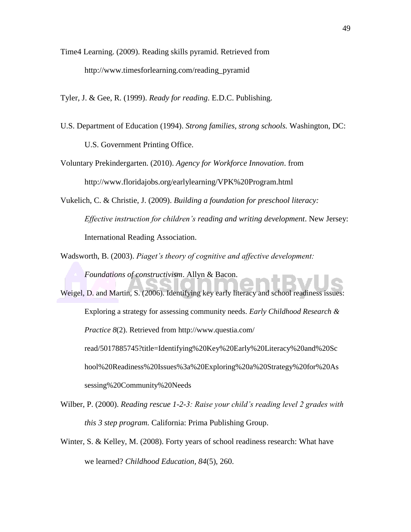Time4 Learning. (2009). Reading skills pyramid. Retrieved from [http://www.timesforlearning.com/reading\\_pyramid](http://www.timesforlearning.com/reading_pyramid)

Tyler, J. & Gee, R. (1999). *Ready for reading*. E.D.C. Publishing.

U.S. Department of Education (1994). *Strong families, strong schools.* Washington, DC:

U.S. Government Printing Office.

Voluntary Prekindergarten. (2010). *Agency for Workforce Innovation*. from <http://www.floridajobs.org/earlylearning/VPK%20Program.html>

Vukelich, C. & Christie, J. (2009). *Building a foundation for preschool literacy: Effective instruction for children's reading and writing development*. New Jersey: International Reading Association.

Wadsworth, B. (2003). *Piaget's theory of cognitive and affective development:* 

*Foundations of constructivism*. Allyn & Bacon.

- Weigel, D. and Martin, S. (2006). Identifying key early literacy and school readiness issues: Exploring a strategy for assessing community needs. *Early Childhood Research & Practice 8*(2). Retrieved from<http://www.questia.com/> read/5017885745?title=Identifying%20Key%20Early%20Literacy%20and%20Sc hool%20Readiness%20Issues%3a%20Exploring%20a%20Strategy%20for%20As sessing%20Community%20Needs
- Wilber, P. (2000). *Reading rescue 1-2-3: Raise your child's reading level 2 grades with this 3 step program.* California: Prima Publishing Group.
- Winter, S. & Kelley, M. (2008). Forty years of school readiness research: What have we learned? *Childhood Education, 84*(5), 260.